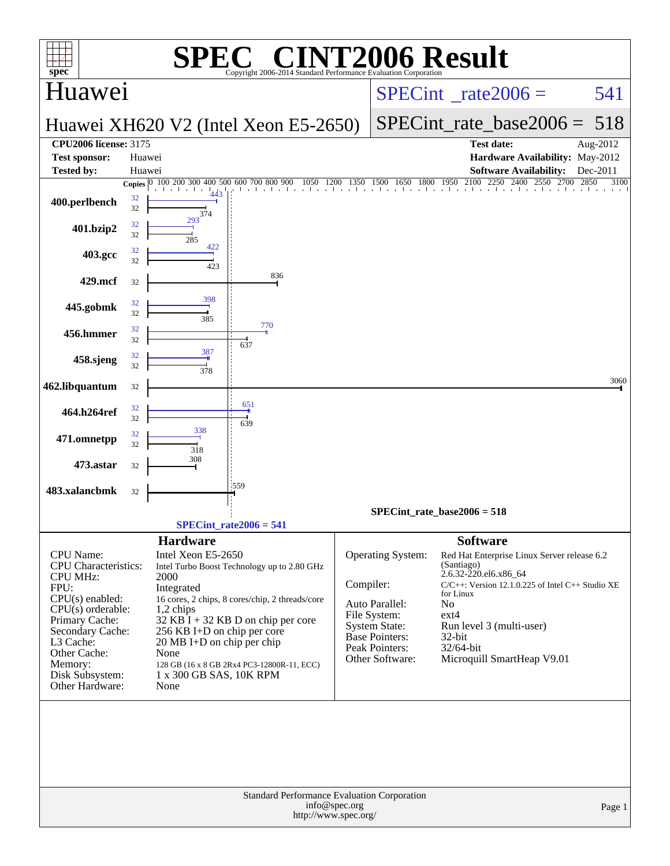| $\mathbf{spec}^*$                                                                                                                                                                                                                          |                  | SPI                                                                                                                                                                                          | $\bigcap$<br>Copyright 2006-2014 Standard Performance Evaluation Cornoration                                                                                                         |                                 | <b>INT2006 Result</b>                                                                                                                     |                                                                                                                 |                                                                                                                                                                |              |
|--------------------------------------------------------------------------------------------------------------------------------------------------------------------------------------------------------------------------------------------|------------------|----------------------------------------------------------------------------------------------------------------------------------------------------------------------------------------------|--------------------------------------------------------------------------------------------------------------------------------------------------------------------------------------|---------------------------------|-------------------------------------------------------------------------------------------------------------------------------------------|-----------------------------------------------------------------------------------------------------------------|----------------------------------------------------------------------------------------------------------------------------------------------------------------|--------------|
| Huawei                                                                                                                                                                                                                                     |                  |                                                                                                                                                                                              |                                                                                                                                                                                      | $SPECint^{\circ}$ rate $2006 =$ |                                                                                                                                           |                                                                                                                 | 541                                                                                                                                                            |              |
|                                                                                                                                                                                                                                            |                  |                                                                                                                                                                                              | Huawei XH620 V2 (Intel Xeon E5-2650)                                                                                                                                                 |                                 |                                                                                                                                           |                                                                                                                 | $SPECint_rate_base2006 =$                                                                                                                                      | 518          |
| <b>CPU2006 license: 3175</b>                                                                                                                                                                                                               |                  |                                                                                                                                                                                              |                                                                                                                                                                                      |                                 |                                                                                                                                           | <b>Test date:</b>                                                                                               |                                                                                                                                                                | Aug-2012     |
| <b>Test sponsor:</b><br><b>Tested by:</b>                                                                                                                                                                                                  | Huawei<br>Huawei |                                                                                                                                                                                              |                                                                                                                                                                                      |                                 |                                                                                                                                           |                                                                                                                 | Hardware Availability: May-2012<br><b>Software Availability:</b>                                                                                               | Dec-2011     |
|                                                                                                                                                                                                                                            |                  | Copies 0 100 200 300                                                                                                                                                                         | 400 500 600 700 800 900                                                                                                                                                              |                                 |                                                                                                                                           |                                                                                                                 | 800 900 1050 1200 1350 1500 1650 1800 1950 2100 2250 2400 2550 270<br>2700                                                                                     | 2850<br>3100 |
| 400.perlbench                                                                                                                                                                                                                              | 32<br>32         | 374                                                                                                                                                                                          |                                                                                                                                                                                      |                                 |                                                                                                                                           |                                                                                                                 |                                                                                                                                                                |              |
| 401.bzip2                                                                                                                                                                                                                                  | 32<br>32         | 293<br>285                                                                                                                                                                                   |                                                                                                                                                                                      |                                 |                                                                                                                                           |                                                                                                                 |                                                                                                                                                                |              |
| 403.gcc                                                                                                                                                                                                                                    | 32<br>32         | 422<br>423                                                                                                                                                                                   |                                                                                                                                                                                      |                                 |                                                                                                                                           |                                                                                                                 |                                                                                                                                                                |              |
| 429.mcf                                                                                                                                                                                                                                    | 32               |                                                                                                                                                                                              | 836                                                                                                                                                                                  |                                 |                                                                                                                                           |                                                                                                                 |                                                                                                                                                                |              |
| 445.gobmk                                                                                                                                                                                                                                  | 32<br>32         | 398<br>385                                                                                                                                                                                   |                                                                                                                                                                                      |                                 |                                                                                                                                           |                                                                                                                 |                                                                                                                                                                |              |
| 456.hmmer                                                                                                                                                                                                                                  | 32<br>32         |                                                                                                                                                                                              | 770                                                                                                                                                                                  |                                 |                                                                                                                                           |                                                                                                                 |                                                                                                                                                                |              |
| 458.sjeng                                                                                                                                                                                                                                  | 32<br>32         | 387                                                                                                                                                                                          | 637                                                                                                                                                                                  |                                 |                                                                                                                                           |                                                                                                                 |                                                                                                                                                                |              |
| 462.libquantum                                                                                                                                                                                                                             | 32               | 378                                                                                                                                                                                          |                                                                                                                                                                                      |                                 |                                                                                                                                           |                                                                                                                 |                                                                                                                                                                | 3060         |
| 464.h264ref                                                                                                                                                                                                                                | 32<br>32         |                                                                                                                                                                                              | 651<br>639                                                                                                                                                                           |                                 |                                                                                                                                           |                                                                                                                 |                                                                                                                                                                |              |
| 471.omnetpp                                                                                                                                                                                                                                | 32<br>32         | 338<br>318                                                                                                                                                                                   |                                                                                                                                                                                      |                                 |                                                                                                                                           |                                                                                                                 |                                                                                                                                                                |              |
| 473.astar                                                                                                                                                                                                                                  | 32               | 308                                                                                                                                                                                          |                                                                                                                                                                                      |                                 |                                                                                                                                           |                                                                                                                 |                                                                                                                                                                |              |
| 483.xalancbmk                                                                                                                                                                                                                              | 32               |                                                                                                                                                                                              | 559                                                                                                                                                                                  |                                 |                                                                                                                                           |                                                                                                                 |                                                                                                                                                                |              |
|                                                                                                                                                                                                                                            |                  |                                                                                                                                                                                              |                                                                                                                                                                                      |                                 | $SPECint_rate_base2006 = 518$                                                                                                             |                                                                                                                 |                                                                                                                                                                |              |
|                                                                                                                                                                                                                                            |                  |                                                                                                                                                                                              | $SPECint_rate2006 = 541$                                                                                                                                                             |                                 |                                                                                                                                           |                                                                                                                 |                                                                                                                                                                |              |
| <b>CPU</b> Name:<br><b>CPU</b> Characteristics:<br><b>CPU MHz:</b><br>FPU:<br>$CPU(s)$ enabled:<br>$CPU(s)$ orderable:<br>Primary Cache:<br>Secondary Cache:<br>L3 Cache:<br>Other Cache:<br>Memory:<br>Disk Subsystem:<br>Other Hardware: |                  | <b>Hardware</b><br>Intel Xeon E5-2650<br>2000<br>Integrated<br>$1,2$ chips<br>256 KB I+D on chip per core<br>$20 \text{ MB I+D}$ on chip per chip<br>None<br>1 x 300 GB SAS, 10K RPM<br>None | Intel Turbo Boost Technology up to 2.80 GHz<br>16 cores, 2 chips, 8 cores/chip, 2 threads/core<br>$32$ KB I + 32 KB D on chip per core<br>128 GB (16 x 8 GB 2Rx4 PC3-12800R-11, ECC) | Compiler:                       | Operating System:<br>Auto Parallel:<br>File System:<br><b>System State:</b><br><b>Base Pointers:</b><br>Peak Pointers:<br>Other Software: | <b>Software</b><br>(Santiago)<br>2.6.32-220.el6.x86_64<br>for Linux<br>No<br>$ext{4}$<br>$32$ -bit<br>32/64-bit | Red Hat Enterprise Linux Server release 6.2<br>$C/C++$ : Version 12.1.0.225 of Intel $C++$ Studio XE<br>Run level 3 (multi-user)<br>Microquill SmartHeap V9.01 |              |
|                                                                                                                                                                                                                                            |                  |                                                                                                                                                                                              | Standard Performance Evaluation Corporation<br>http://www.spec.org/                                                                                                                  | info@spec.org                   |                                                                                                                                           |                                                                                                                 |                                                                                                                                                                | Page 1       |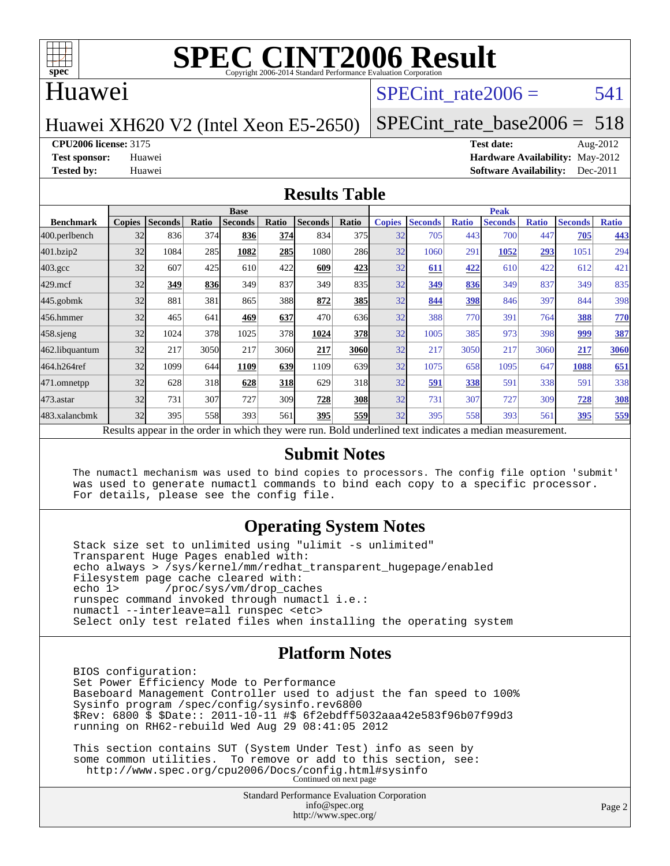

#### Huawei

#### SPECint rate $2006 = 541$

#### Huawei XH620 V2 (Intel Xeon E5-2650)

[SPECint\\_rate\\_base2006 =](http://www.spec.org/auto/cpu2006/Docs/result-fields.html#SPECintratebase2006) 518

**[CPU2006 license:](http://www.spec.org/auto/cpu2006/Docs/result-fields.html#CPU2006license)** 3175 **[Test date:](http://www.spec.org/auto/cpu2006/Docs/result-fields.html#Testdate)** Aug-2012

**[Test sponsor:](http://www.spec.org/auto/cpu2006/Docs/result-fields.html#Testsponsor)** Huawei **[Hardware Availability:](http://www.spec.org/auto/cpu2006/Docs/result-fields.html#HardwareAvailability)** May-2012 **[Tested by:](http://www.spec.org/auto/cpu2006/Docs/result-fields.html#Testedby)** Huawei **[Software Availability:](http://www.spec.org/auto/cpu2006/Docs/result-fields.html#SoftwareAvailability)** Dec-2011

#### **[Results Table](http://www.spec.org/auto/cpu2006/Docs/result-fields.html#ResultsTable)**

|                                                                                                          | <b>Base</b>   |                |       |                |            |                |                  | <b>Peak</b>   |                |              |                |              |                |              |  |
|----------------------------------------------------------------------------------------------------------|---------------|----------------|-------|----------------|------------|----------------|------------------|---------------|----------------|--------------|----------------|--------------|----------------|--------------|--|
| <b>Benchmark</b>                                                                                         | <b>Copies</b> | <b>Seconds</b> | Ratio | <b>Seconds</b> | Ratio      | <b>Seconds</b> | Ratio            | <b>Copies</b> | <b>Seconds</b> | <b>Ratio</b> | <b>Seconds</b> | <b>Ratio</b> | <b>Seconds</b> | <b>Ratio</b> |  |
| 400.perlbench                                                                                            | 32            | 836            | 374   | 836            | 374        | 834            | 375              | 32            | 705            | 443          | 700            | 447          | 705            | 443          |  |
| 401.bzip2                                                                                                | 32            | 1084           | 285   | 1082           | 285        | 1080           | 286              | 32            | 1060           | 291          | 1052           | 293          | 1051           | 294          |  |
| $403.\mathrm{gcc}$                                                                                       | 32            | 607            | 425   | 610            | 422        | 609            | 423              | 32            | 611            | 422          | 610            | 422          | 612            | 421          |  |
| $429$ .mcf                                                                                               | 32            | 349            | 836   | 349            | 837        | 349            | 835              | 32            | 349            | 836          | 349            | 837          | 349            | 835          |  |
| $445$ .gobmk                                                                                             | 32            | 881            | 381   | 865            | 388l       | 872            | <b>385</b>       | 32            | 844            | 398          | 846            | 397          | 844            | 398          |  |
| 456.hmmer                                                                                                | 32            | 465            | 641   | 469            | 637        | 470            | 636              | 32            | 388            | 770          | 391            | 764          | 388            | <b>770</b>   |  |
| $458$ .sjeng                                                                                             | 32            | 1024           | 378   | 1025           | 378        | 1024           | <b>378</b>       | 32            | 1005           | 385          | 973            | 398          | 999            | 387          |  |
| 462.libquantum                                                                                           | 32            | 217            | 3050  | 217            | 3060       | 217            | 3060             | 32            | 217            | 3050         | 217            | 3060         | 217            | 3060         |  |
| 464.h264ref                                                                                              | 32            | 1099           | 644   | 1109           | 639        | 1109           | 639 <sub>l</sub> | 32            | 1075           | 658          | 1095           | 647          | 1088           | 651          |  |
| 471.omnetpp                                                                                              | 32            | 628            | 318   | 628            | <b>318</b> | 629            | 318              | 32            | 591            | 338          | 591            | 338          | 591            | 338          |  |
| $473$ . astar                                                                                            | 32            | 731            | 307   | 727            | 309        | 728            | <b>308</b>       | 32            | 731            | 307          | 727            | 309          | 728            | <b>308</b>   |  |
| 483.xalancbmk                                                                                            | 32            | 395            | 558   | 393            | 561        | 395            | 559              | 32            | 395            | 558          | 393            | 561          | 395            | 559          |  |
| Results appear in the order in which they were run. Bold underlined text indicates a median measurement. |               |                |       |                |            |                |                  |               |                |              |                |              |                |              |  |

#### **[Submit Notes](http://www.spec.org/auto/cpu2006/Docs/result-fields.html#SubmitNotes)**

 The numactl mechanism was used to bind copies to processors. The config file option 'submit' was used to generate numactl commands to bind each copy to a specific processor. For details, please see the config file.

#### **[Operating System Notes](http://www.spec.org/auto/cpu2006/Docs/result-fields.html#OperatingSystemNotes)**

 Stack size set to unlimited using "ulimit -s unlimited" Transparent Huge Pages enabled with: echo always > /sys/kernel/mm/redhat\_transparent\_hugepage/enabled Filesystem page cache cleared with:<br>echo 1> /proc/sys/vm/drop cac /proc/sys/vm/drop\_caches runspec command invoked through numactl i.e.: numactl --interleave=all runspec <etc> Select only test related files when installing the operating system

#### **[Platform Notes](http://www.spec.org/auto/cpu2006/Docs/result-fields.html#PlatformNotes)**

 BIOS configuration: Set Power Efficiency Mode to Performance Baseboard Management Controller used to adjust the fan speed to 100% Sysinfo program /spec/config/sysinfo.rev6800 \$Rev: 6800 \$ \$Date:: 2011-10-11 #\$ 6f2ebdff5032aaa42e583f96b07f99d3 running on RH62-rebuild Wed Aug 29 08:41:05 2012

 This section contains SUT (System Under Test) info as seen by some common utilities. To remove or add to this section, see: <http://www.spec.org/cpu2006/Docs/config.html#sysinfo> Continued on next page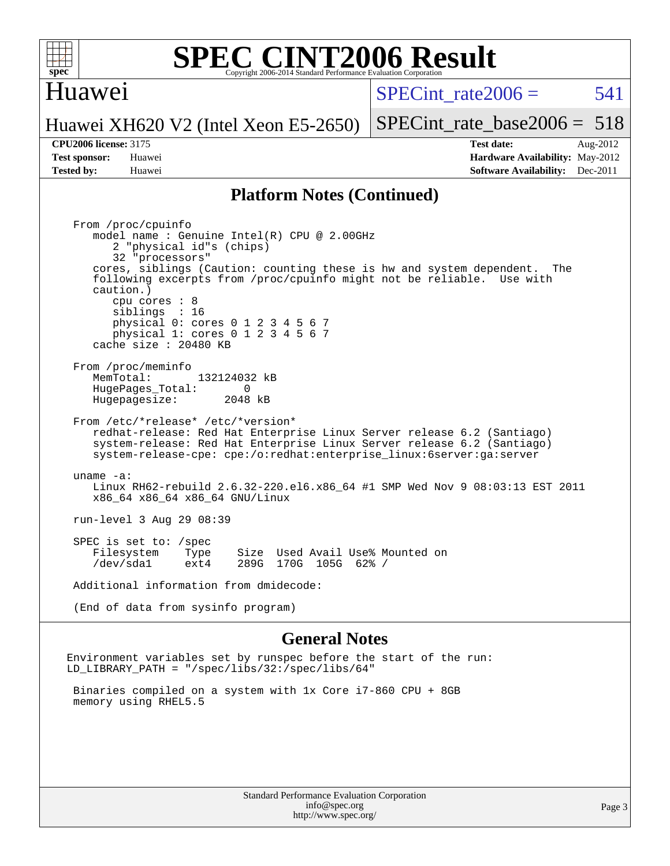

#### Huawei

SPECint rate $2006 = 541$ 

Huawei XH620 V2 (Intel Xeon E5-2650)

#### **[CPU2006 license:](http://www.spec.org/auto/cpu2006/Docs/result-fields.html#CPU2006license)** 3175 **[Test date:](http://www.spec.org/auto/cpu2006/Docs/result-fields.html#Testdate)** Aug-2012

[SPECint\\_rate\\_base2006 =](http://www.spec.org/auto/cpu2006/Docs/result-fields.html#SPECintratebase2006) 518

**[Test sponsor:](http://www.spec.org/auto/cpu2006/Docs/result-fields.html#Testsponsor)** Huawei **[Hardware Availability:](http://www.spec.org/auto/cpu2006/Docs/result-fields.html#HardwareAvailability)** May-2012 **[Tested by:](http://www.spec.org/auto/cpu2006/Docs/result-fields.html#Testedby)** Huawei **[Software Availability:](http://www.spec.org/auto/cpu2006/Docs/result-fields.html#SoftwareAvailability)** Dec-2011

#### **[Platform Notes \(Continued\)](http://www.spec.org/auto/cpu2006/Docs/result-fields.html#PlatformNotes)**

 From /proc/cpuinfo model name : Genuine Intel(R) CPU @ 2.00GHz 2 "physical id"s (chips) 32 "processors" cores, siblings (Caution: counting these is hw and system dependent. The following excerpts from /proc/cpuinfo might not be reliable. Use with caution.) cpu cores : 8 siblings : 16 physical 0: cores 0 1 2 3 4 5 6 7 physical 1: cores 0 1 2 3 4 5 6 7 cache size : 20480 KB From /proc/meminfo MemTotal: 132124032 kB<br>HugePages Total: 0 HugePages\_Total: 0 Hugepagesize: 2048 kB From /etc/\*release\* /etc/\*version\* redhat-release: Red Hat Enterprise Linux Server release 6.2 (Santiago) system-release: Red Hat Enterprise Linux Server release 6.2 (Santiago) system-release-cpe: cpe:/o:redhat:enterprise\_linux:6server:ga:server uname -a: Linux RH62-rebuild 2.6.32-220.el6.x86\_64 #1 SMP Wed Nov 9 08:03:13 EST 2011 x86\_64 x86\_64 x86\_64 GNU/Linux run-level 3 Aug 29 08:39 SPEC is set to: /spec Filesystem Type Size Used Avail Use% Mounted on /dev/sda1 ext4 289G 170G 105G 62% / Additional information from dmidecode: (End of data from sysinfo program)

#### **[General Notes](http://www.spec.org/auto/cpu2006/Docs/result-fields.html#GeneralNotes)**

Environment variables set by runspec before the start of the run: LD\_LIBRARY\_PATH = "/spec/libs/32:/spec/libs/64"

 Binaries compiled on a system with 1x Core i7-860 CPU + 8GB memory using RHEL5.5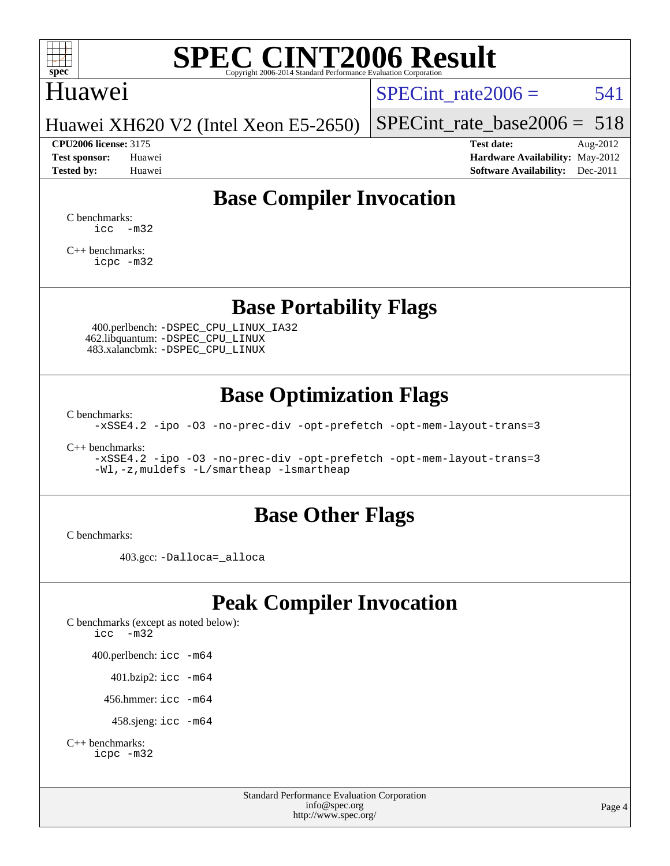

## Huawei

SPECint rate $2006 = 541$ 

Huawei XH620 V2 (Intel Xeon E5-2650)

**[CPU2006 license:](http://www.spec.org/auto/cpu2006/Docs/result-fields.html#CPU2006license)** 3175 **[Test date:](http://www.spec.org/auto/cpu2006/Docs/result-fields.html#Testdate)** Aug-2012

[SPECint\\_rate\\_base2006 =](http://www.spec.org/auto/cpu2006/Docs/result-fields.html#SPECintratebase2006) 518

**[Test sponsor:](http://www.spec.org/auto/cpu2006/Docs/result-fields.html#Testsponsor)** Huawei **[Hardware Availability:](http://www.spec.org/auto/cpu2006/Docs/result-fields.html#HardwareAvailability)** May-2012 **[Tested by:](http://www.spec.org/auto/cpu2006/Docs/result-fields.html#Testedby)** Huawei **[Software Availability:](http://www.spec.org/auto/cpu2006/Docs/result-fields.html#SoftwareAvailability)** Dec-2011

## **[Base Compiler Invocation](http://www.spec.org/auto/cpu2006/Docs/result-fields.html#BaseCompilerInvocation)**

[C benchmarks](http://www.spec.org/auto/cpu2006/Docs/result-fields.html#Cbenchmarks):  $\text{icc}$   $-\text{m32}$ 

[C++ benchmarks:](http://www.spec.org/auto/cpu2006/Docs/result-fields.html#CXXbenchmarks) [icpc -m32](http://www.spec.org/cpu2006/results/res2012q3/cpu2006-20120904-24393.flags.html#user_CXXbase_intel_icpc_4e5a5ef1a53fd332b3c49e69c3330699)

**[Base Portability Flags](http://www.spec.org/auto/cpu2006/Docs/result-fields.html#BasePortabilityFlags)**

 400.perlbench: [-DSPEC\\_CPU\\_LINUX\\_IA32](http://www.spec.org/cpu2006/results/res2012q3/cpu2006-20120904-24393.flags.html#b400.perlbench_baseCPORTABILITY_DSPEC_CPU_LINUX_IA32) 462.libquantum: [-DSPEC\\_CPU\\_LINUX](http://www.spec.org/cpu2006/results/res2012q3/cpu2006-20120904-24393.flags.html#b462.libquantum_baseCPORTABILITY_DSPEC_CPU_LINUX) 483.xalancbmk: [-DSPEC\\_CPU\\_LINUX](http://www.spec.org/cpu2006/results/res2012q3/cpu2006-20120904-24393.flags.html#b483.xalancbmk_baseCXXPORTABILITY_DSPEC_CPU_LINUX)

## **[Base Optimization Flags](http://www.spec.org/auto/cpu2006/Docs/result-fields.html#BaseOptimizationFlags)**

[C benchmarks](http://www.spec.org/auto/cpu2006/Docs/result-fields.html#Cbenchmarks):

[-xSSE4.2](http://www.spec.org/cpu2006/results/res2012q3/cpu2006-20120904-24393.flags.html#user_CCbase_f-xSSE42_f91528193cf0b216347adb8b939d4107) [-ipo](http://www.spec.org/cpu2006/results/res2012q3/cpu2006-20120904-24393.flags.html#user_CCbase_f-ipo) [-O3](http://www.spec.org/cpu2006/results/res2012q3/cpu2006-20120904-24393.flags.html#user_CCbase_f-O3) [-no-prec-div](http://www.spec.org/cpu2006/results/res2012q3/cpu2006-20120904-24393.flags.html#user_CCbase_f-no-prec-div) [-opt-prefetch](http://www.spec.org/cpu2006/results/res2012q3/cpu2006-20120904-24393.flags.html#user_CCbase_f-opt-prefetch) [-opt-mem-layout-trans=3](http://www.spec.org/cpu2006/results/res2012q3/cpu2006-20120904-24393.flags.html#user_CCbase_f-opt-mem-layout-trans_a7b82ad4bd7abf52556d4961a2ae94d5)

[C++ benchmarks:](http://www.spec.org/auto/cpu2006/Docs/result-fields.html#CXXbenchmarks)

[-xSSE4.2](http://www.spec.org/cpu2006/results/res2012q3/cpu2006-20120904-24393.flags.html#user_CXXbase_f-xSSE42_f91528193cf0b216347adb8b939d4107) [-ipo](http://www.spec.org/cpu2006/results/res2012q3/cpu2006-20120904-24393.flags.html#user_CXXbase_f-ipo) [-O3](http://www.spec.org/cpu2006/results/res2012q3/cpu2006-20120904-24393.flags.html#user_CXXbase_f-O3) [-no-prec-div](http://www.spec.org/cpu2006/results/res2012q3/cpu2006-20120904-24393.flags.html#user_CXXbase_f-no-prec-div) [-opt-prefetch](http://www.spec.org/cpu2006/results/res2012q3/cpu2006-20120904-24393.flags.html#user_CXXbase_f-opt-prefetch) [-opt-mem-layout-trans=3](http://www.spec.org/cpu2006/results/res2012q3/cpu2006-20120904-24393.flags.html#user_CXXbase_f-opt-mem-layout-trans_a7b82ad4bd7abf52556d4961a2ae94d5) [-Wl,-z,muldefs](http://www.spec.org/cpu2006/results/res2012q3/cpu2006-20120904-24393.flags.html#user_CXXbase_link_force_multiple1_74079c344b956b9658436fd1b6dd3a8a) [-L/smartheap -lsmartheap](http://www.spec.org/cpu2006/results/res2012q3/cpu2006-20120904-24393.flags.html#user_CXXbase_SmartHeap_7c9e394a5779e1a7fec7c221e123830c)

### **[Base Other Flags](http://www.spec.org/auto/cpu2006/Docs/result-fields.html#BaseOtherFlags)**

[C benchmarks](http://www.spec.org/auto/cpu2006/Docs/result-fields.html#Cbenchmarks):

403.gcc: [-Dalloca=\\_alloca](http://www.spec.org/cpu2006/results/res2012q3/cpu2006-20120904-24393.flags.html#b403.gcc_baseEXTRA_CFLAGS_Dalloca_be3056838c12de2578596ca5467af7f3)

## **[Peak Compiler Invocation](http://www.spec.org/auto/cpu2006/Docs/result-fields.html#PeakCompilerInvocation)**

[C benchmarks \(except as noted below\)](http://www.spec.org/auto/cpu2006/Docs/result-fields.html#Cbenchmarksexceptasnotedbelow): [icc -m32](http://www.spec.org/cpu2006/results/res2012q3/cpu2006-20120904-24393.flags.html#user_CCpeak_intel_icc_5ff4a39e364c98233615fdd38438c6f2) 400.perlbench: [icc -m64](http://www.spec.org/cpu2006/results/res2012q3/cpu2006-20120904-24393.flags.html#user_peakCCLD400_perlbench_intel_icc_64bit_bda6cc9af1fdbb0edc3795bac97ada53) 401.bzip2: [icc -m64](http://www.spec.org/cpu2006/results/res2012q3/cpu2006-20120904-24393.flags.html#user_peakCCLD401_bzip2_intel_icc_64bit_bda6cc9af1fdbb0edc3795bac97ada53)

456.hmmer: [icc -m64](http://www.spec.org/cpu2006/results/res2012q3/cpu2006-20120904-24393.flags.html#user_peakCCLD456_hmmer_intel_icc_64bit_bda6cc9af1fdbb0edc3795bac97ada53)

458.sjeng: [icc -m64](http://www.spec.org/cpu2006/results/res2012q3/cpu2006-20120904-24393.flags.html#user_peakCCLD458_sjeng_intel_icc_64bit_bda6cc9af1fdbb0edc3795bac97ada53)

```
C++ benchmarks: 
icpc -m32
```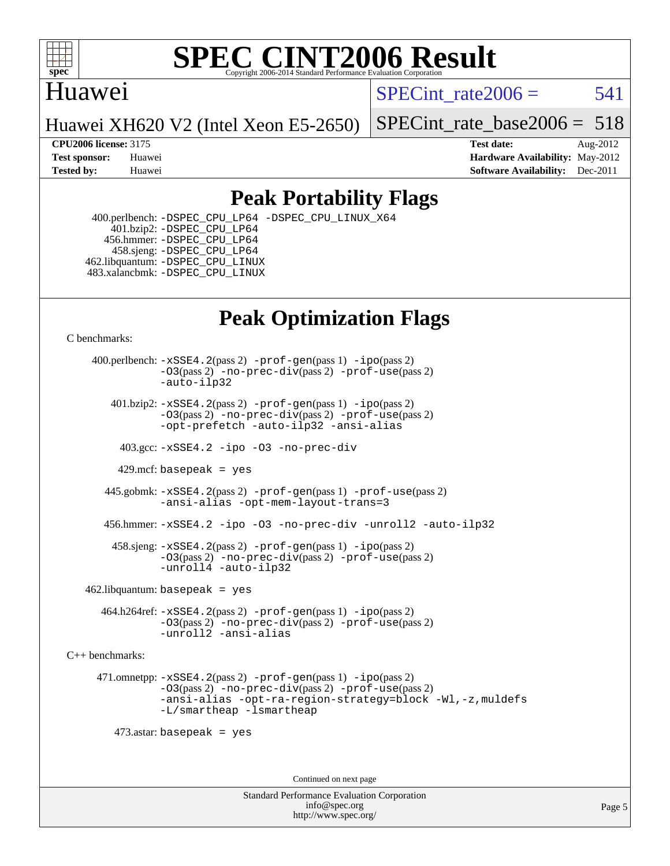

### Huawei

SPECint rate $2006 = 541$ 

Huawei XH620 V2 (Intel Xeon E5-2650)

[SPECint\\_rate\\_base2006 =](http://www.spec.org/auto/cpu2006/Docs/result-fields.html#SPECintratebase2006) 518

**[CPU2006 license:](http://www.spec.org/auto/cpu2006/Docs/result-fields.html#CPU2006license)** 3175 **[Test date:](http://www.spec.org/auto/cpu2006/Docs/result-fields.html#Testdate)** Aug-2012 **[Test sponsor:](http://www.spec.org/auto/cpu2006/Docs/result-fields.html#Testsponsor)** Huawei **[Hardware Availability:](http://www.spec.org/auto/cpu2006/Docs/result-fields.html#HardwareAvailability)** May-2012 **[Tested by:](http://www.spec.org/auto/cpu2006/Docs/result-fields.html#Testedby)** Huawei **[Software Availability:](http://www.spec.org/auto/cpu2006/Docs/result-fields.html#SoftwareAvailability)** Dec-2011

## **[Peak Portability Flags](http://www.spec.org/auto/cpu2006/Docs/result-fields.html#PeakPortabilityFlags)**

 400.perlbench: [-DSPEC\\_CPU\\_LP64](http://www.spec.org/cpu2006/results/res2012q3/cpu2006-20120904-24393.flags.html#b400.perlbench_peakCPORTABILITY_DSPEC_CPU_LP64) [-DSPEC\\_CPU\\_LINUX\\_X64](http://www.spec.org/cpu2006/results/res2012q3/cpu2006-20120904-24393.flags.html#b400.perlbench_peakCPORTABILITY_DSPEC_CPU_LINUX_X64) 401.bzip2: [-DSPEC\\_CPU\\_LP64](http://www.spec.org/cpu2006/results/res2012q3/cpu2006-20120904-24393.flags.html#suite_peakCPORTABILITY401_bzip2_DSPEC_CPU_LP64) 456.hmmer: [-DSPEC\\_CPU\\_LP64](http://www.spec.org/cpu2006/results/res2012q3/cpu2006-20120904-24393.flags.html#suite_peakCPORTABILITY456_hmmer_DSPEC_CPU_LP64) 458.sjeng: [-DSPEC\\_CPU\\_LP64](http://www.spec.org/cpu2006/results/res2012q3/cpu2006-20120904-24393.flags.html#suite_peakCPORTABILITY458_sjeng_DSPEC_CPU_LP64) 462.libquantum: [-DSPEC\\_CPU\\_LINUX](http://www.spec.org/cpu2006/results/res2012q3/cpu2006-20120904-24393.flags.html#b462.libquantum_peakCPORTABILITY_DSPEC_CPU_LINUX) 483.xalancbmk: [-DSPEC\\_CPU\\_LINUX](http://www.spec.org/cpu2006/results/res2012q3/cpu2006-20120904-24393.flags.html#b483.xalancbmk_peakCXXPORTABILITY_DSPEC_CPU_LINUX)

## **[Peak Optimization Flags](http://www.spec.org/auto/cpu2006/Docs/result-fields.html#PeakOptimizationFlags)**

[C benchmarks](http://www.spec.org/auto/cpu2006/Docs/result-fields.html#Cbenchmarks):

 400.perlbench: [-xSSE4.2](http://www.spec.org/cpu2006/results/res2012q3/cpu2006-20120904-24393.flags.html#user_peakPASS2_CFLAGSPASS2_LDCFLAGS400_perlbench_f-xSSE42_f91528193cf0b216347adb8b939d4107)(pass 2) [-prof-gen](http://www.spec.org/cpu2006/results/res2012q3/cpu2006-20120904-24393.flags.html#user_peakPASS1_CFLAGSPASS1_LDCFLAGS400_perlbench_prof_gen_e43856698f6ca7b7e442dfd80e94a8fc)(pass 1) [-ipo](http://www.spec.org/cpu2006/results/res2012q3/cpu2006-20120904-24393.flags.html#user_peakPASS2_CFLAGSPASS2_LDCFLAGS400_perlbench_f-ipo)(pass 2) [-O3](http://www.spec.org/cpu2006/results/res2012q3/cpu2006-20120904-24393.flags.html#user_peakPASS2_CFLAGSPASS2_LDCFLAGS400_perlbench_f-O3)(pass 2) [-no-prec-div](http://www.spec.org/cpu2006/results/res2012q3/cpu2006-20120904-24393.flags.html#user_peakPASS2_CFLAGSPASS2_LDCFLAGS400_perlbench_f-no-prec-div)(pass 2) [-prof-use](http://www.spec.org/cpu2006/results/res2012q3/cpu2006-20120904-24393.flags.html#user_peakPASS2_CFLAGSPASS2_LDCFLAGS400_perlbench_prof_use_bccf7792157ff70d64e32fe3e1250b55)(pass 2) [-auto-ilp32](http://www.spec.org/cpu2006/results/res2012q3/cpu2006-20120904-24393.flags.html#user_peakCOPTIMIZE400_perlbench_f-auto-ilp32)  $401.bzip2: -xSSE4.2(pass 2) -prof-qen(pass 1) -ipo(pass 2)$  $401.bzip2: -xSSE4.2(pass 2) -prof-qen(pass 1) -ipo(pass 2)$  $401.bzip2: -xSSE4.2(pass 2) -prof-qen(pass 1) -ipo(pass 2)$  $401.bzip2: -xSSE4.2(pass 2) -prof-qen(pass 1) -ipo(pass 2)$  $401.bzip2: -xSSE4.2(pass 2) -prof-qen(pass 1) -ipo(pass 2)$ [-O3](http://www.spec.org/cpu2006/results/res2012q3/cpu2006-20120904-24393.flags.html#user_peakPASS2_CFLAGSPASS2_LDCFLAGS401_bzip2_f-O3)(pass 2) [-no-prec-div](http://www.spec.org/cpu2006/results/res2012q3/cpu2006-20120904-24393.flags.html#user_peakPASS2_CFLAGSPASS2_LDCFLAGS401_bzip2_f-no-prec-div)(pass 2) [-prof-use](http://www.spec.org/cpu2006/results/res2012q3/cpu2006-20120904-24393.flags.html#user_peakPASS2_CFLAGSPASS2_LDCFLAGS401_bzip2_prof_use_bccf7792157ff70d64e32fe3e1250b55)(pass 2) [-opt-prefetch](http://www.spec.org/cpu2006/results/res2012q3/cpu2006-20120904-24393.flags.html#user_peakCOPTIMIZE401_bzip2_f-opt-prefetch) [-auto-ilp32](http://www.spec.org/cpu2006/results/res2012q3/cpu2006-20120904-24393.flags.html#user_peakCOPTIMIZE401_bzip2_f-auto-ilp32) [-ansi-alias](http://www.spec.org/cpu2006/results/res2012q3/cpu2006-20120904-24393.flags.html#user_peakCOPTIMIZE401_bzip2_f-ansi-alias) 403.gcc: [-xSSE4.2](http://www.spec.org/cpu2006/results/res2012q3/cpu2006-20120904-24393.flags.html#user_peakCOPTIMIZE403_gcc_f-xSSE42_f91528193cf0b216347adb8b939d4107) [-ipo](http://www.spec.org/cpu2006/results/res2012q3/cpu2006-20120904-24393.flags.html#user_peakCOPTIMIZE403_gcc_f-ipo) [-O3](http://www.spec.org/cpu2006/results/res2012q3/cpu2006-20120904-24393.flags.html#user_peakCOPTIMIZE403_gcc_f-O3) [-no-prec-div](http://www.spec.org/cpu2006/results/res2012q3/cpu2006-20120904-24393.flags.html#user_peakCOPTIMIZE403_gcc_f-no-prec-div) 429.mcf: basepeak = yes 445.gobmk: [-xSSE4.2](http://www.spec.org/cpu2006/results/res2012q3/cpu2006-20120904-24393.flags.html#user_peakPASS2_CFLAGSPASS2_LDCFLAGS445_gobmk_f-xSSE42_f91528193cf0b216347adb8b939d4107)(pass 2) [-prof-gen](http://www.spec.org/cpu2006/results/res2012q3/cpu2006-20120904-24393.flags.html#user_peakPASS1_CFLAGSPASS1_LDCFLAGS445_gobmk_prof_gen_e43856698f6ca7b7e442dfd80e94a8fc)(pass 1) [-prof-use](http://www.spec.org/cpu2006/results/res2012q3/cpu2006-20120904-24393.flags.html#user_peakPASS2_CFLAGSPASS2_LDCFLAGS445_gobmk_prof_use_bccf7792157ff70d64e32fe3e1250b55)(pass 2) [-ansi-alias](http://www.spec.org/cpu2006/results/res2012q3/cpu2006-20120904-24393.flags.html#user_peakCOPTIMIZE445_gobmk_f-ansi-alias) [-opt-mem-layout-trans=3](http://www.spec.org/cpu2006/results/res2012q3/cpu2006-20120904-24393.flags.html#user_peakCOPTIMIZE445_gobmk_f-opt-mem-layout-trans_a7b82ad4bd7abf52556d4961a2ae94d5) 456.hmmer: [-xSSE4.2](http://www.spec.org/cpu2006/results/res2012q3/cpu2006-20120904-24393.flags.html#user_peakCOPTIMIZE456_hmmer_f-xSSE42_f91528193cf0b216347adb8b939d4107) [-ipo](http://www.spec.org/cpu2006/results/res2012q3/cpu2006-20120904-24393.flags.html#user_peakCOPTIMIZE456_hmmer_f-ipo) [-O3](http://www.spec.org/cpu2006/results/res2012q3/cpu2006-20120904-24393.flags.html#user_peakCOPTIMIZE456_hmmer_f-O3) [-no-prec-div](http://www.spec.org/cpu2006/results/res2012q3/cpu2006-20120904-24393.flags.html#user_peakCOPTIMIZE456_hmmer_f-no-prec-div) [-unroll2](http://www.spec.org/cpu2006/results/res2012q3/cpu2006-20120904-24393.flags.html#user_peakCOPTIMIZE456_hmmer_f-unroll_784dae83bebfb236979b41d2422d7ec2) [-auto-ilp32](http://www.spec.org/cpu2006/results/res2012q3/cpu2006-20120904-24393.flags.html#user_peakCOPTIMIZE456_hmmer_f-auto-ilp32) 458.sjeng: [-xSSE4.2](http://www.spec.org/cpu2006/results/res2012q3/cpu2006-20120904-24393.flags.html#user_peakPASS2_CFLAGSPASS2_LDCFLAGS458_sjeng_f-xSSE42_f91528193cf0b216347adb8b939d4107)(pass 2) [-prof-gen](http://www.spec.org/cpu2006/results/res2012q3/cpu2006-20120904-24393.flags.html#user_peakPASS1_CFLAGSPASS1_LDCFLAGS458_sjeng_prof_gen_e43856698f6ca7b7e442dfd80e94a8fc)(pass 1) [-ipo](http://www.spec.org/cpu2006/results/res2012q3/cpu2006-20120904-24393.flags.html#user_peakPASS2_CFLAGSPASS2_LDCFLAGS458_sjeng_f-ipo)(pass 2) [-O3](http://www.spec.org/cpu2006/results/res2012q3/cpu2006-20120904-24393.flags.html#user_peakPASS2_CFLAGSPASS2_LDCFLAGS458_sjeng_f-O3)(pass 2) [-no-prec-div](http://www.spec.org/cpu2006/results/res2012q3/cpu2006-20120904-24393.flags.html#user_peakPASS2_CFLAGSPASS2_LDCFLAGS458_sjeng_f-no-prec-div)(pass 2) [-prof-use](http://www.spec.org/cpu2006/results/res2012q3/cpu2006-20120904-24393.flags.html#user_peakPASS2_CFLAGSPASS2_LDCFLAGS458_sjeng_prof_use_bccf7792157ff70d64e32fe3e1250b55)(pass 2) [-unroll4](http://www.spec.org/cpu2006/results/res2012q3/cpu2006-20120904-24393.flags.html#user_peakCOPTIMIZE458_sjeng_f-unroll_4e5e4ed65b7fd20bdcd365bec371b81f) [-auto-ilp32](http://www.spec.org/cpu2006/results/res2012q3/cpu2006-20120904-24393.flags.html#user_peakCOPTIMIZE458_sjeng_f-auto-ilp32)  $462$ .libquantum: basepeak = yes 464.h264ref: [-xSSE4.2](http://www.spec.org/cpu2006/results/res2012q3/cpu2006-20120904-24393.flags.html#user_peakPASS2_CFLAGSPASS2_LDCFLAGS464_h264ref_f-xSSE42_f91528193cf0b216347adb8b939d4107)(pass 2) [-prof-gen](http://www.spec.org/cpu2006/results/res2012q3/cpu2006-20120904-24393.flags.html#user_peakPASS1_CFLAGSPASS1_LDCFLAGS464_h264ref_prof_gen_e43856698f6ca7b7e442dfd80e94a8fc)(pass 1) [-ipo](http://www.spec.org/cpu2006/results/res2012q3/cpu2006-20120904-24393.flags.html#user_peakPASS2_CFLAGSPASS2_LDCFLAGS464_h264ref_f-ipo)(pass 2) [-O3](http://www.spec.org/cpu2006/results/res2012q3/cpu2006-20120904-24393.flags.html#user_peakPASS2_CFLAGSPASS2_LDCFLAGS464_h264ref_f-O3)(pass 2) [-no-prec-div](http://www.spec.org/cpu2006/results/res2012q3/cpu2006-20120904-24393.flags.html#user_peakPASS2_CFLAGSPASS2_LDCFLAGS464_h264ref_f-no-prec-div)(pass 2) [-prof-use](http://www.spec.org/cpu2006/results/res2012q3/cpu2006-20120904-24393.flags.html#user_peakPASS2_CFLAGSPASS2_LDCFLAGS464_h264ref_prof_use_bccf7792157ff70d64e32fe3e1250b55)(pass 2) [-unroll2](http://www.spec.org/cpu2006/results/res2012q3/cpu2006-20120904-24393.flags.html#user_peakCOPTIMIZE464_h264ref_f-unroll_784dae83bebfb236979b41d2422d7ec2) [-ansi-alias](http://www.spec.org/cpu2006/results/res2012q3/cpu2006-20120904-24393.flags.html#user_peakCOPTIMIZE464_h264ref_f-ansi-alias) [C++ benchmarks:](http://www.spec.org/auto/cpu2006/Docs/result-fields.html#CXXbenchmarks) 471.omnetpp: [-xSSE4.2](http://www.spec.org/cpu2006/results/res2012q3/cpu2006-20120904-24393.flags.html#user_peakPASS2_CXXFLAGSPASS2_LDCXXFLAGS471_omnetpp_f-xSSE42_f91528193cf0b216347adb8b939d4107)(pass 2) [-prof-gen](http://www.spec.org/cpu2006/results/res2012q3/cpu2006-20120904-24393.flags.html#user_peakPASS1_CXXFLAGSPASS1_LDCXXFLAGS471_omnetpp_prof_gen_e43856698f6ca7b7e442dfd80e94a8fc)(pass 1) [-ipo](http://www.spec.org/cpu2006/results/res2012q3/cpu2006-20120904-24393.flags.html#user_peakPASS2_CXXFLAGSPASS2_LDCXXFLAGS471_omnetpp_f-ipo)(pass 2) [-O3](http://www.spec.org/cpu2006/results/res2012q3/cpu2006-20120904-24393.flags.html#user_peakPASS2_CXXFLAGSPASS2_LDCXXFLAGS471_omnetpp_f-O3)(pass 2) [-no-prec-div](http://www.spec.org/cpu2006/results/res2012q3/cpu2006-20120904-24393.flags.html#user_peakPASS2_CXXFLAGSPASS2_LDCXXFLAGS471_omnetpp_f-no-prec-div)(pass 2) [-prof-use](http://www.spec.org/cpu2006/results/res2012q3/cpu2006-20120904-24393.flags.html#user_peakPASS2_CXXFLAGSPASS2_LDCXXFLAGS471_omnetpp_prof_use_bccf7792157ff70d64e32fe3e1250b55)(pass 2) [-ansi-alias](http://www.spec.org/cpu2006/results/res2012q3/cpu2006-20120904-24393.flags.html#user_peakCXXOPTIMIZE471_omnetpp_f-ansi-alias) [-opt-ra-region-strategy=block](http://www.spec.org/cpu2006/results/res2012q3/cpu2006-20120904-24393.flags.html#user_peakCXXOPTIMIZE471_omnetpp_f-opt-ra-region-strategy_a0a37c372d03933b2a18d4af463c1f69) [-Wl,-z,muldefs](http://www.spec.org/cpu2006/results/res2012q3/cpu2006-20120904-24393.flags.html#user_peakEXTRA_LDFLAGS471_omnetpp_link_force_multiple1_74079c344b956b9658436fd1b6dd3a8a) [-L/smartheap -lsmartheap](http://www.spec.org/cpu2006/results/res2012q3/cpu2006-20120904-24393.flags.html#user_peakEXTRA_LIBS471_omnetpp_SmartHeap_7c9e394a5779e1a7fec7c221e123830c) 473.astar: basepeak = yes Continued on next page